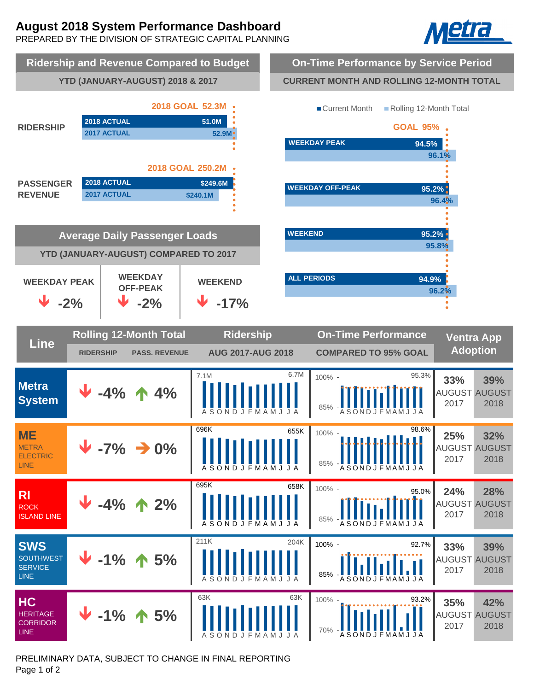# **August 2018 System Performance Dashboard**

PREPARED BY THE DIVISION OF STRATEGIC CAPITAL PLANNING





PRELIMINARY DATA, SUBJECT TO CHANGE IN FINAL REPORTING Page 1 of 2